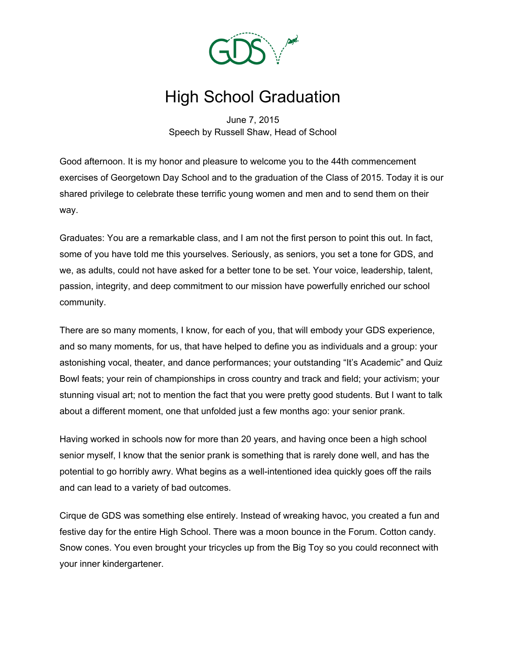

# High School Graduation

June 7, 2015 Speech by Russell Shaw, Head of School

Good afternoon. It is my honor and pleasure to welcome you to the 44th commencement exercises of Georgetown Day School and to the graduation of the Class of 2015. Today it is our shared privilege to celebrate these terrific young women and men and to send them on their way.

Graduates: You are a remarkable class, and I am not the first person to point this out. In fact, some of you have told me this yourselves. Seriously, as seniors, you set a tone for GDS, and we, as adults, could not have asked for a better tone to be set. Your voice, leadership, talent, passion, integrity, and deep commitment to our mission have powerfully enriched our school community.

There are so many moments, I know, for each of you, that will embody your GDS experience, and so many moments, for us, that have helped to define you as individuals and a group: your astonishing vocal, theater, and dance performances; your outstanding "It's Academic" and Quiz Bowl feats; your rein of championships in cross country and track and field; your activism; your stunning visual art; not to mention the fact that you were pretty good students. But I want to talk about a different moment, one that unfolded just a few months ago: your senior prank.

Having worked in schools now for more than 20 years, and having once been a high school senior myself, I know that the senior prank is something that is rarely done well, and has the potential to go horribly awry. What begins as a well-intentioned idea quickly goes off the rails and can lead to a variety of bad outcomes.

Cirque de GDS was something else entirely. Instead of wreaking havoc, you created a fun and festive day for the entire High School. There was a moon bounce in the Forum. Cotton candy. Snow cones. You even brought your tricycles up from the Big Toy so you could reconnect with your inner kindergartener.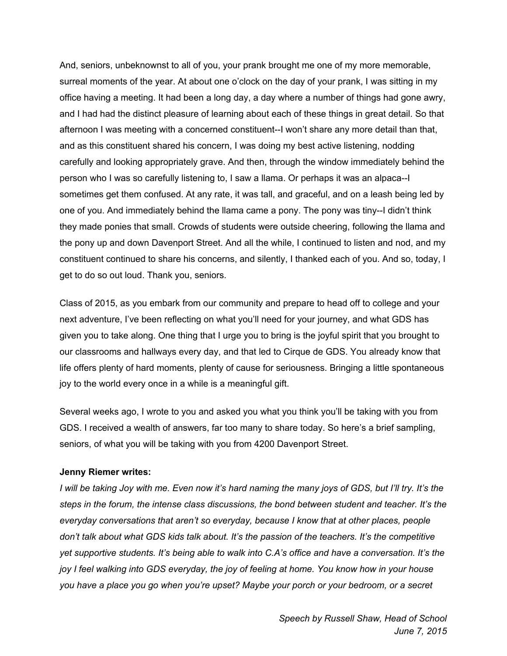And, seniors, unbeknownst to all of you, your prank brought me one of my more memorable, surreal moments of the year. At about one o'clock on the day of your prank, I was sitting in my office having a meeting. It had been a long day, a day where a number of things had gone awry, and I had had the distinct pleasure of learning about each of these things in great detail. So that afternoon I was meeting with a concerned constituent--I won't share any more detail than that, and as this constituent shared his concern, I was doing my best active listening, nodding carefully and looking appropriately grave. And then, through the window immediately behind the person who I was so carefully listening to, I saw a llama. Or perhaps it was an alpaca--I sometimes get them confused. At any rate, it was tall, and graceful, and on a leash being led by one of you. And immediately behind the llama came a pony. The pony was tiny--I didn't think they made ponies that small. Crowds of students were outside cheering, following the llama and the pony up and down Davenport Street. And all the while, I continued to listen and nod, and my constituent continued to share his concerns, and silently, I thanked each of you. And so, today, I get to do so out loud. Thank you, seniors.

Class of 2015, as you embark from our community and prepare to head off to college and your next adventure, I've been reflecting on what you'll need for your journey, and what GDS has given you to take along. One thing that I urge you to bring is the joyful spirit that you brought to our classrooms and hallways every day, and that led to Cirque de GDS. You already know that life offers plenty of hard moments, plenty of cause for seriousness. Bringing a little spontaneous joy to the world every once in a while is a meaningful gift.

Several weeks ago, I wrote to you and asked you what you think you'll be taking with you from GDS. I received a wealth of answers, far too many to share today. So here's a brief sampling, seniors, of what you will be taking with you from 4200 Davenport Street.

# **Jenny Riemer writes:**

I will be taking Joy with me. Even now it's hard naming the many joys of GDS, but I'll try. It's the *steps in the forum, the intense class discussions, the bond between student and teacher. It's the everyday conversations that aren't so everyday, because I know that at other places, people don't talk about what GDS kids talk about. It's the passion of the teachers. It's the competitive yet supportive students. It's being able to walk into C.A's office and have a conversation. It's the* joy I feel walking into GDS everyday, the joy of feeling at home. You know how in your house *you have a place you go when you're upset? Maybe your porch or your bedroom, or a secret*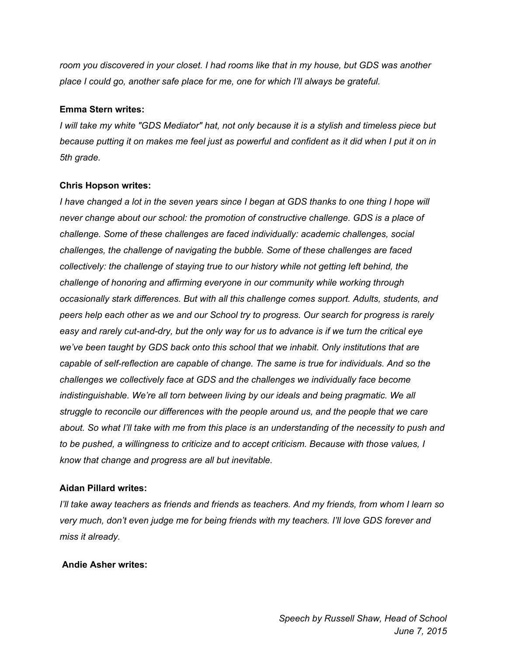*room you discovered in your closet. I had rooms like that in my house, but GDS was another place I could go, another safe place for me, one for which I'll always be grateful.*

## **Emma Stern writes:**

I will take my white "GDS Mediator" hat, not only because it is a stylish and timeless piece but because putting it on makes me feel just as powerful and confident as it did when I put it on in *5th grade.*

### **Chris Hopson writes:**

I have changed a lot in the seven years since I began at GDS thanks to one thing I hope will *never change about our school: the promotion of constructive challenge. GDS is a place of challenge. Some of these challenges are faced individually: academic challenges, social challenges, the challenge of navigating the bubble. Some of these challenges are faced collectively: the challenge of staying true to our history while not getting left behind, the challenge of honoring and affirming everyone in our community while working through occasionally stark differences. But with all this challenge comes support. Adults, students, and peers help each other as we and our School try to progress. Our search for progress is rarely* easy and rarely cut-and-dry, but the only way for us to advance is if we turn the critical eye *we've been taught by GDS back onto this school that we inhabit. Only institutions that are capable of self-reflection are capable of change. The same is true for individuals. And so the challenges we collectively face at GDS and the challenges we individually face become indistinguishable. We're all torn between living by our ideals and being pragmatic. We all struggle to reconcile our differences with the people around us, and the people that we care* about. So what I'll take with me from this place is an understanding of the necessity to push and *to be pushed, a willingness to criticize and to accept criticism. Because with those values, I know that change and progress are all but inevitable.*

# **Aidan Pillard writes:**

*I'll take away teachers as friends and friends as teachers. And my friends, from whom I learn so very much, don't even judge me for being friends with my teachers. I'll love GDS forever and miss it already.*

# **Andie Asher writes:**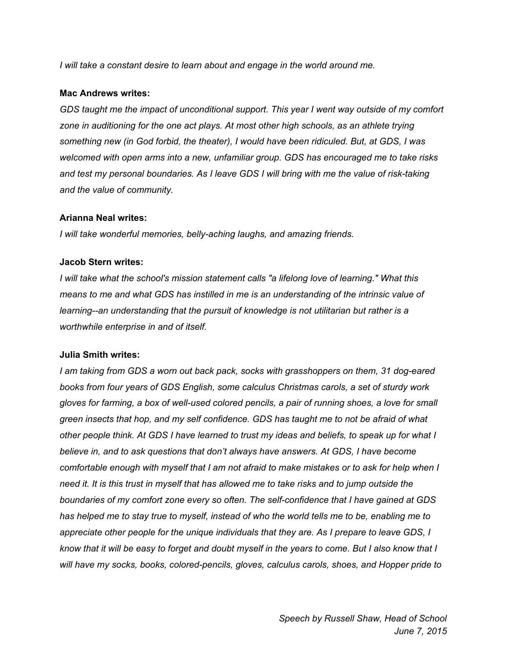*I will take a constant desire to learn about and engage in the world around me.*

### **Mac Andrews writes:**

*GDS taught me the impact of unconditional support. This year I went way outside of my comfort zone in auditioning for the one act plays. At most other high schools, as an athlete trying something new (in God forbid, the theater), I would have been ridiculed. But, at GDS, I was welcomed with open arms into a new, unfamiliar group. GDS has encouraged me to take risks and test my personal boundaries. As I leave GDS I will bring with me the value of risk-taking and the value of community.*

# **Arianna Neal writes:**

*I will take wonderful memories, belly-aching laughs, and amazing friends.*

### **Jacob Stern writes:**

*I will take what the school's mission statement calls "a lifelong love of learning." What this means to me and what GDS has instilled in me is an understanding of the intrinsic value of learning--an understanding that the pursuit of knowledge is not utilitarian but rather is a worthwhile enterprise in and of itself.*

# **Julia Smith writes:**

*I am taking from GDS a worn out back pack, socks with grasshoppers on them, 31 dog-eared books from four years of GDS English, some calculus Christmas carols, a set of sturdy work gloves for farming, a box of well-used colored pencils, a pair of running shoes, a love for small green insects that hop, and my self confidence. GDS has taught me to not be afraid of what* other people think. At GDS I have learned to trust my ideas and beliefs, to speak up for what I *believe in, and to ask questions that don't always have answers. At GDS, I have become* comfortable enough with myself that I am not afraid to make mistakes or to ask for help when I need it. It is this trust in myself that has allowed me to take risks and to jump outside the *boundaries of my comfort zone every so often. The self-confidence that I have gained at GDS* has helped me to stay true to myself, instead of who the world tells me to be, enabling me to *appreciate other people for the unique individuals that they are. As I prepare to leave GDS, I* know that it will be easy to forget and doubt myself in the years to come. But I also know that I *will have my socks, books, colored-pencils, gloves, calculus carols, shoes, and Hopper pride to*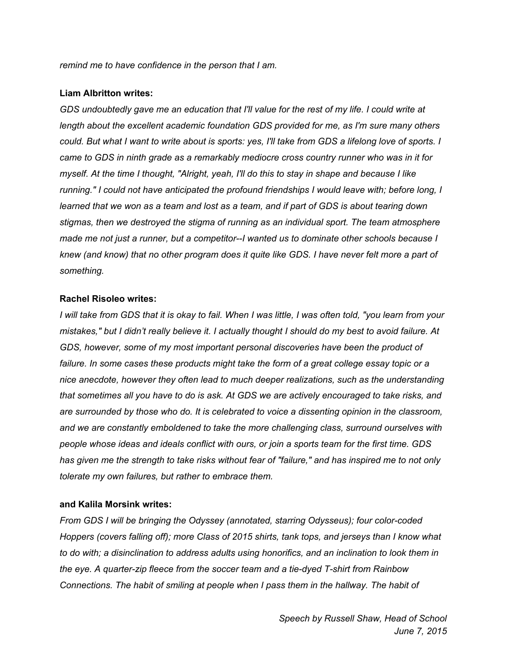*remind me to have confidence in the person that I am.*

#### **Liam Albritton writes:**

GDS undoubtedly gave me an education that I'll value for the rest of my life. I could write at *length about the excellent academic foundation GDS provided for me, as I'm sure many others* could. But what I want to write about is sports: yes, I'll take from GDS a lifelong love of sports. I *came to GDS in ninth grade as a remarkably mediocre cross country runner who was in it for* myself. At the time I thought, "Alright, yeah, I'll do this to stay in shape and because I like *running." I could not have anticipated the profound friendships I would leave with; before long, I* learned that we won as a team and lost as a team, and if part of GDS is about tearing down *stigmas, then we destroyed the stigma of running as an individual sport. The team atmosphere made me not just a runner, but a competitor--I wanted us to dominate other schools because I* knew (and know) that no other program does it quite like GDS. I have never felt more a part of *something.*

#### **Rachel Risoleo writes:**

I will take from GDS that it is okay to fail. When I was little, I was often told, "you learn from your mistakes," but I didn't really believe it. I actually thought I should do my best to avoid failure. At *GDS, however, some of my most important personal discoveries have been the product of failure. In some cases these products might take the form of a great college essay topic or a nice anecdote, however they often lead to much deeper realizations, such as the understanding* that sometimes all you have to do is ask. At GDS we are actively encouraged to take risks, and *are surrounded by those who do. It is celebrated to voice a dissenting opinion in the classroom, and we are constantly emboldened to take the more challenging class, surround ourselves with people whose ideas and ideals conflict with ours, or join a sports team for the first time. GDS* has given me the strength to take risks without fear of "failure," and has inspired me to not only *tolerate my own failures, but rather to embrace them.*

#### **and Kalila Morsink writes:**

*From GDS I will be bringing the Odyssey (annotated, starring Odysseus); four color-coded Hoppers (covers falling off); more Class of 2015 shirts, tank tops, and jerseys than I know what to do with; a disinclination to address adults using honorifics, and an inclination to look them in the eye. A quarter-zip fleece from the soccer team and a tie-dyed T-shirt from Rainbow Connections. The habit of smiling at people when I pass them in the hallway. The habit of*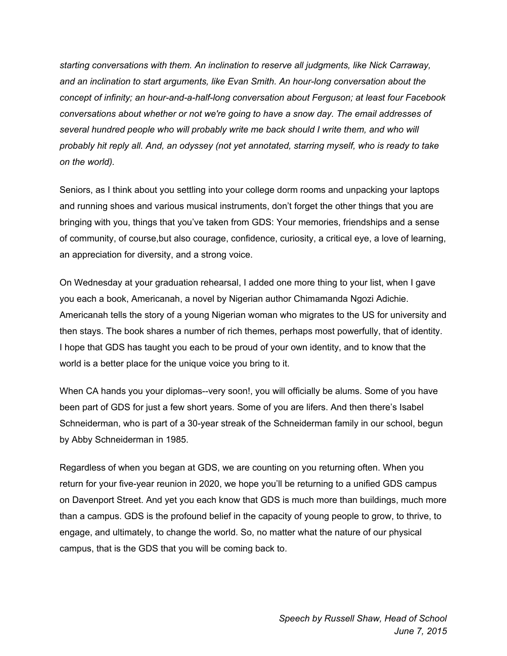*starting conversations with them. An inclination to reserve all judgments, like Nick Carraway, and an inclination to start arguments, like Evan Smith. An hour-long conversation about the concept of infinity; an hour-and-a-half-long conversation about Ferguson; at least four Facebook conversations about whether or not we're going to have a snow day. The email addresses of several hundred people who will probably write me back should I write them, and who will probably hit reply all. And, an odyssey (not yet annotated, starring myself, who is ready to take on the world).*

Seniors, as I think about you settling into your college dorm rooms and unpacking your laptops and running shoes and various musical instruments, don't forget the other things that you are bringing with you, things that you've taken from GDS: Your memories, friendships and a sense of community, of course,but also courage, confidence, curiosity, a critical eye, a love of learning, an appreciation for diversity, and a strong voice.

On Wednesday at your graduation rehearsal, I added one more thing to your list, when I gave you each a book, Americanah, a novel by Nigerian author Chimamanda Ngozi Adichie. Americanah tells the story of a young Nigerian woman who migrates to the US for university and then stays. The book shares a number of rich themes, perhaps most powerfully, that of identity. I hope that GDS has taught you each to be proud of your own identity, and to know that the world is a better place for the unique voice you bring to it.

When CA hands you your diplomas--very soon!, you will officially be alums. Some of you have been part of GDS for just a few short years. Some of you are lifers. And then there's Isabel Schneiderman, who is part of a 30-year streak of the Schneiderman family in our school, begun by Abby Schneiderman in 1985.

Regardless of when you began at GDS, we are counting on you returning often. When you return for your five-year reunion in 2020, we hope you'll be returning to a unified GDS campus on Davenport Street. And yet you each know that GDS is much more than buildings, much more than a campus. GDS is the profound belief in the capacity of young people to grow, to thrive, to engage, and ultimately, to change the world. So, no matter what the nature of our physical campus, that is the GDS that you will be coming back to.